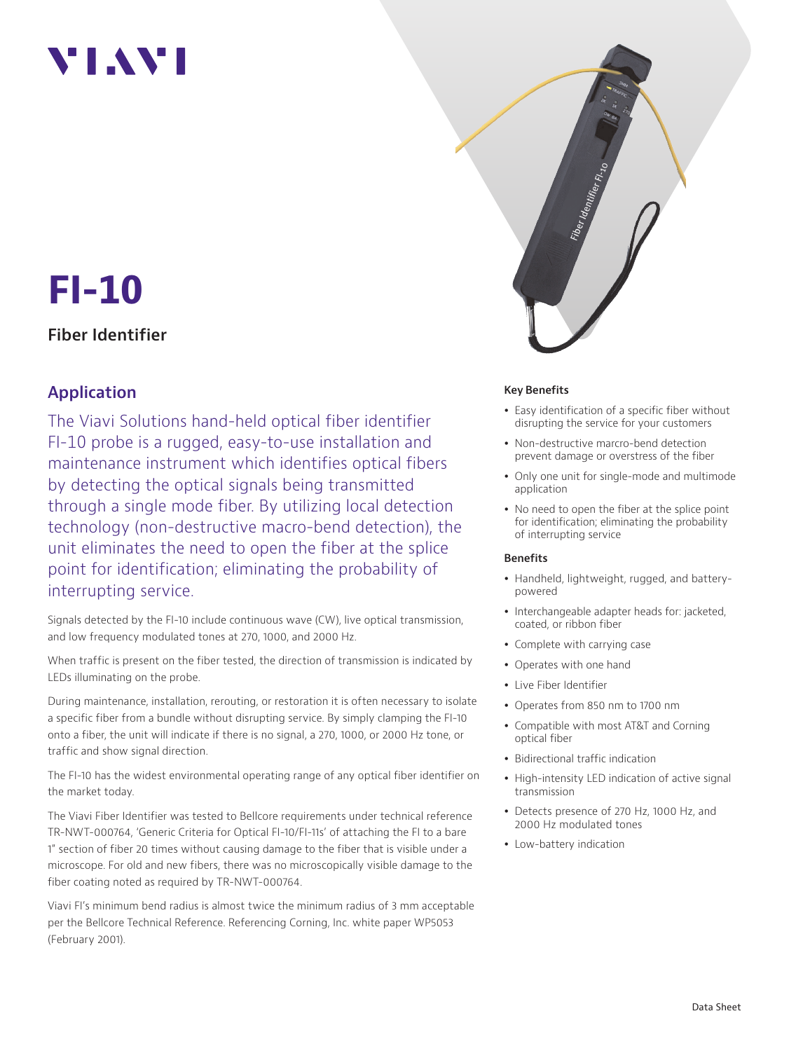# **YIAY**

# **FI-10**

### **Fiber Identifier**

## **Application**

The Viavi Solutions hand-held optical fiber identifier FI-10 probe is a rugged, easy-to-use installation and maintenance instrument which identifies optical fibers by detecting the optical signals being transmitted through a single mode fiber. By utilizing local detection technology (non-destructive macro-bend detection), the unit eliminates the need to open the fiber at the splice point for identification; eliminating the probability of interrupting service.

Signals detected by the FI-10 include continuous wave (CW), live optical transmission, and low frequency modulated tones at 270, 1000, and 2000 Hz.

When traffic is present on the fiber tested, the direction of transmission is indicated by LEDs illuminating on the probe.

During maintenance, installation, rerouting, or restoration it is often necessary to isolate a specific fiber from a bundle without disrupting service. By simply clamping the FI-10 onto a fiber, the unit will indicate if there is no signal, a 270, 1000, or 2000 Hz tone, or traffic and show signal direction.

The FI-10 has the widest environmental operating range of any optical fiber identifier on the market today.

The Viavi Fiber Identifier was tested to Bellcore requirements under technical reference TR-NWT-000764, 'Generic Criteria for Optical FI-10/FI-11s' of attaching the FI to a bare 1" section of fiber 20 times without causing damage to the fiber that is visible under a microscope. For old and new fibers, there was no microscopically visible damage to the fiber coating noted as required by TR-NWT-000764.

Viavi FI's minimum bend radius is almost twice the minimum radius of 3 mm acceptable per the Bellcore Technical Reference. Referencing Corning, Inc. white paper WP5053 (February 2001).



#### **Key Benefits**

- Easy identification of a specific fiber without disrupting the service for your customers
- Non-destructive marcro-bend detection prevent damage or overstress of the fiber
- Only one unit for single-mode and multimode application
- No need to open the fiber at the splice point for identification; eliminating the probability of interrupting service

#### **Benefits**

- Handheld, lightweight, rugged, and batterypowered
- Interchangeable adapter heads for: jacketed, coated, or ribbon fiber
- Complete with carrying case
- Operates with one hand
- Live Fiber Identifier
- Operates from 850 nm to 1700 nm
- Compatible with most AT&T and Corning optical fiber
- Bidirectional traffic indication
- High-intensity LED indication of active signal transmission
- Detects presence of 270 Hz, 1000 Hz, and 2000 Hz modulated tones
- Low-battery indication